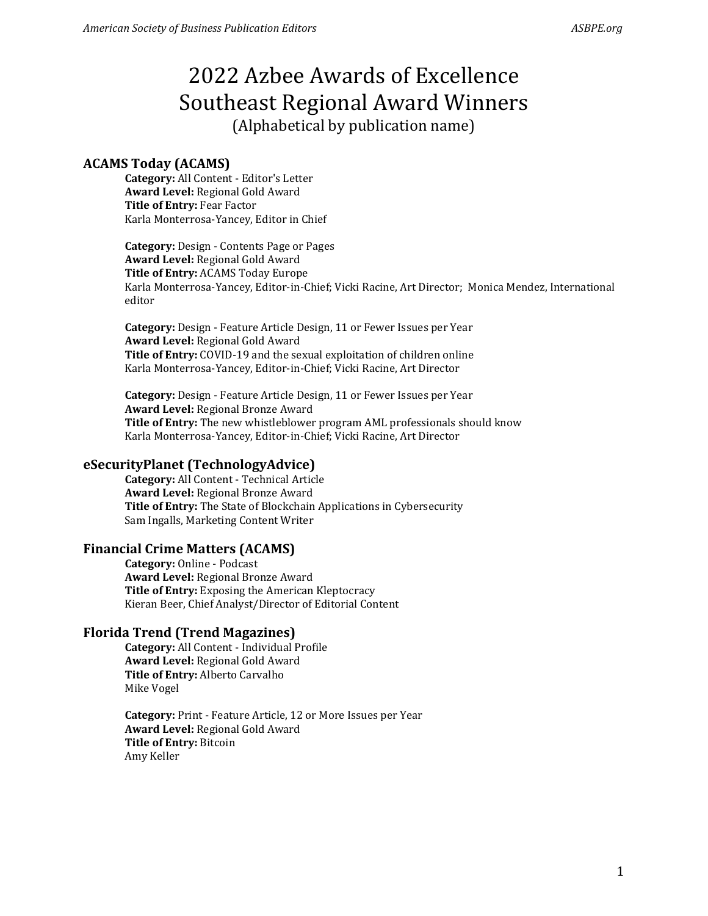# **ACAMS Today (ACAMS)**

**Category:** All Content - Editor's Letter **Award Level:** Regional Gold Award **Title of Entry:** Fear Factor Karla Monterrosa-Yancey, Editor in Chief

**Category:** Design - Contents Page or Pages **Award Level:** Regional Gold Award **Title of Entry:** ACAMS Today Europe Karla Monterrosa-Yancey, Editor-in-Chief; Vicki Racine, Art Director; Monica Mendez, International editor

**Category:** Design - Feature Article Design, 11 or Fewer Issues per Year **Award Level:** Regional Gold Award **Title of Entry:** COVID-19 and the sexual exploitation of children online Karla Monterrosa-Yancey, Editor-in-Chief; Vicki Racine, Art Director

**Category:** Design - Feature Article Design, 11 or Fewer Issues per Year **Award Level:** Regional Bronze Award **Title of Entry:** The new whistleblower program AML professionals should know Karla Monterrosa-Yancey, Editor-in-Chief; Vicki Racine, Art Director

## **eSecurityPlanet (TechnologyAdvice)**

**Category:** All Content - Technical Article **Award Level:** Regional Bronze Award **Title of Entry:** The State of Blockchain Applications in Cybersecurity Sam Ingalls, Marketing Content Writer

## **Financial Crime Matters (ACAMS)**

**Category:** Online - Podcast **Award Level:** Regional Bronze Award **Title of Entry:** Exposing the American Kleptocracy Kieran Beer, Chief Analyst/Director of Editorial Content

## **Florida Trend (Trend Magazines)**

**Category:** All Content - Individual Profile **Award Level:** Regional Gold Award **Title of Entry:** Alberto Carvalho Mike Vogel

**Category:** Print - Feature Article, 12 or More Issues per Year **Award Level:** Regional Gold Award **Title of Entry:** Bitcoin Amy Keller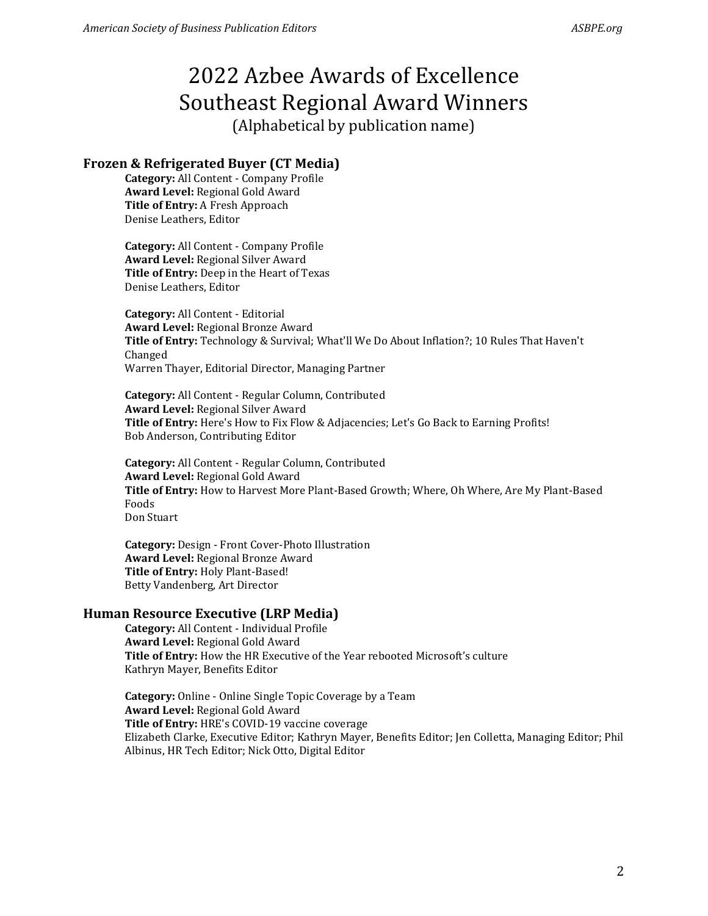## **Frozen & Refrigerated Buyer (CT Media)**

**Category:** All Content - Company Profile **Award Level:** Regional Gold Award **Title of Entry:** A Fresh Approach Denise Leathers, Editor

**Category:** All Content - Company Profile **Award Level:** Regional Silver Award **Title of Entry:** Deep in the Heart of Texas Denise Leathers, Editor

**Category:** All Content - Editorial **Award Level:** Regional Bronze Award **Title of Entry:** Technology & Survival; What'll We Do About Inflation?; 10 Rules That Haven't Changed Warren Thayer, Editorial Director, Managing Partner

**Category:** All Content - Regular Column, Contributed **Award Level:** Regional Silver Award **Title of Entry:** Here's How to Fix Flow & Adjacencies; Let's Go Back to Earning Profits! Bob Anderson, Contributing Editor

**Category:** All Content - Regular Column, Contributed **Award Level:** Regional Gold Award **Title of Entry:** How to Harvest More Plant-Based Growth; Where, Oh Where, Are My Plant-Based Foods Don Stuart

**Category:** Design - Front Cover-Photo Illustration **Award Level:** Regional Bronze Award **Title of Entry:** Holy Plant-Based! Betty Vandenberg, Art Director

### **Human Resource Executive (LRP Media)**

**Category:** All Content - Individual Profile **Award Level:** Regional Gold Award **Title of Entry:** How the HR Executive of the Year rebooted Microsoft's culture Kathryn Mayer, Benefits Editor

**Category:** Online - Online Single Topic Coverage by a Team **Award Level:** Regional Gold Award **Title of Entry:** HRE's COVID-19 vaccine coverage Elizabeth Clarke, Executive Editor; Kathryn Mayer, Benefits Editor; Jen Colletta, Managing Editor; Phil Albinus, HR Tech Editor; Nick Otto, Digital Editor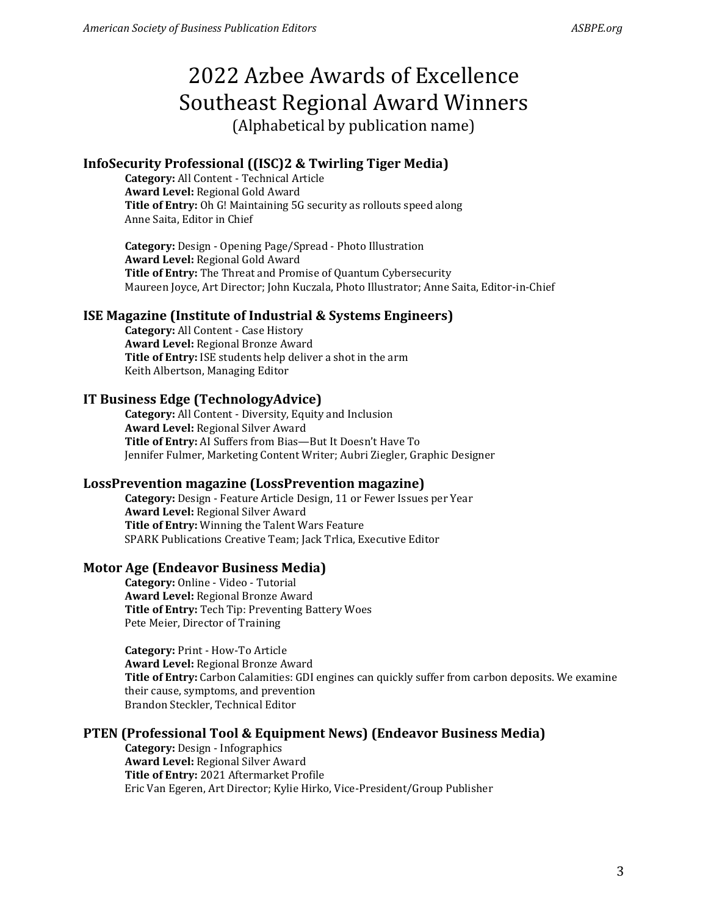## **InfoSecurity Professional ((ISC)2 & Twirling Tiger Media)**

**Category:** All Content - Technical Article **Award Level:** Regional Gold Award **Title of Entry:** Oh G! Maintaining 5G security as rollouts speed along Anne Saita, Editor in Chief

**Category:** Design - Opening Page/Spread - Photo Illustration **Award Level:** Regional Gold Award **Title of Entry:** The Threat and Promise of Quantum Cybersecurity Maureen Joyce, Art Director; John Kuczala, Photo Illustrator; Anne Saita, Editor-in-Chief

#### **ISE Magazine (Institute of Industrial & Systems Engineers)**

**Category:** All Content - Case History **Award Level:** Regional Bronze Award **Title of Entry:** ISE students help deliver a shot in the arm Keith Albertson, Managing Editor

### **IT Business Edge (TechnologyAdvice)**

**Category:** All Content - Diversity, Equity and Inclusion **Award Level:** Regional Silver Award **Title of Entry:** AI Suffers from Bias—But It Doesn't Have To Jennifer Fulmer, Marketing Content Writer; Aubri Ziegler, Graphic Designer

#### **LossPrevention magazine (LossPrevention magazine)**

**Category:** Design - Feature Article Design, 11 or Fewer Issues per Year **Award Level:** Regional Silver Award **Title of Entry:** Winning the Talent Wars Feature SPARK Publications Creative Team; Jack Trlica, Executive Editor

### **Motor Age (Endeavor Business Media)**

**Category:** Online - Video - Tutorial **Award Level:** Regional Bronze Award **Title of Entry:** Tech Tip: Preventing Battery Woes Pete Meier, Director of Training

**Category:** Print - How-To Article **Award Level:** Regional Bronze Award **Title of Entry:** Carbon Calamities: GDI engines can quickly suffer from carbon deposits. We examine their cause, symptoms, and prevention Brandon Steckler, Technical Editor

### **PTEN (Professional Tool & Equipment News) (Endeavor Business Media)**

**Category:** Design - Infographics **Award Level:** Regional Silver Award **Title of Entry:** 2021 Aftermarket Profile Eric Van Egeren, Art Director; Kylie Hirko, Vice-President/Group Publisher